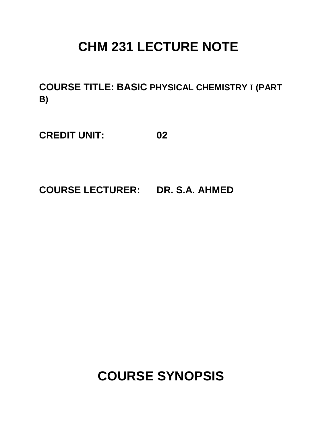# **CHM 231 LECTURE NOTE**

**COURSE TITLE: BASIC PHYSICAL CHEMISTRY I (PART B)**

**CREDIT UNIT: 02**

**COURSE LECTURER: DR. S.A. AHMED**

**COURSE SYNOPSIS**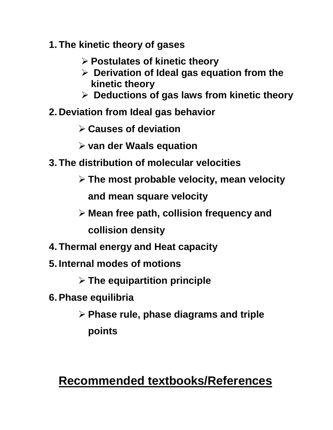- **1. The kinetic theory of gases**
	- **Postulates of kinetic theory**
	- **Derivation of Ideal gas equation from the kinetic theory**
	- **Deductions of gas laws from kinetic theory**
- **2. Deviation from Ideal gas behavior**
	- **Causes of deviation**
	- **van der Waals equation**
- **3. The distribution of molecular velocities**
	- **The most probable velocity, mean velocity and mean square velocity**
	- **Mean free path, collision frequency and collision density**
- **4. Thermal energy and Heat capacity**
- **5. Internal modes of motions**
	- **The equipartition principle**
- **6.Phase equilibria**
	- **Phase rule, phase diagrams and triple points**

# **Recommended textbooks/References**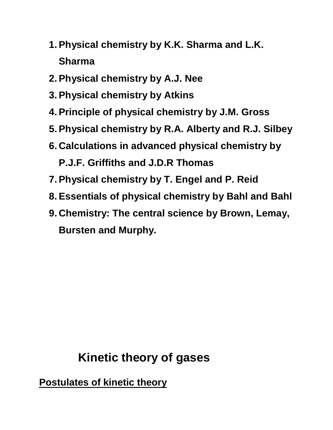- **1.Physical chemistry by K.K. Sharma and L.K. Sharma**
- **2.Physical chemistry by A.J. Nee**
- **3.Physical chemistry by Atkins**
- **4.Principle of physical chemistry by J.M. Gross**
- **5.Physical chemistry by R.A. Alberty and R.J. Silbey**
- **6. Calculations in advanced physical chemistry by P.J.F. Griffiths and J.D.R Thomas**
- **7.Physical chemistry by T. Engel and P. Reid**
- **8.Essentials of physical chemistry by Bahl and Bahl**
- **9. Chemistry: The central science by Brown, Lemay, Bursten and Murphy.**

# **Kinetic theory of gases**

**Postulates of kinetic theory**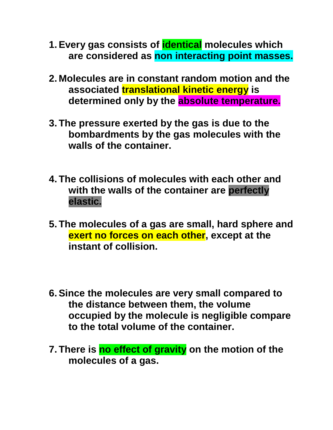- **1.Every gas consists of identical molecules which are considered as non interacting point masses.**
- **2. Molecules are in constant random motion and the associated translational kinetic energy is determined only by the absolute temperature.**
- **3. The pressure exerted by the gas is due to the bombardments by the gas molecules with the walls of the container.**
- **4. The collisions of molecules with each other and with the walls of the container are perfectly elastic.**
- **5. The molecules of a gas are small, hard sphere and exert no forces on each other, except at the instant of collision.**
- **6.Since the molecules are very small compared to the distance between them, the volume occupied by the molecule is negligible compare to the total volume of the container.**
- **7. There is no effect of gravity on the motion of the molecules of a gas.**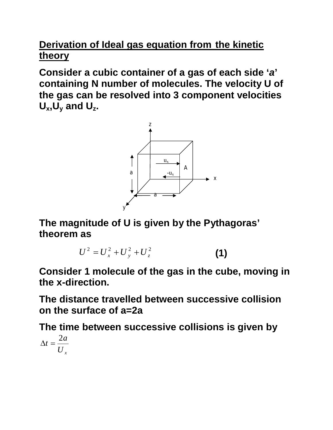# **Derivation of Ideal gas equation from the kinetic theory**

**Consider a cubic container of a gas of each side '***a***' containing N number of molecules. The velocity U of the gas can be resolved into 3 component velocities**   $U_x$ ,  $U_y$  and  $U_z$ .



**The magnitude of U is given by the Pythagoras' theorem as**

$$
U^2 = U_x^2 + U_y^2 + U_z^2 \tag{1}
$$

**Consider 1 molecule of the gas in the cube, moving in the x-direction.** 

**The distance travelled between successive collision on the surface of a=2a**

**The time between successive collisions is given by** 

$$
\Delta t = \frac{2a}{U_x}
$$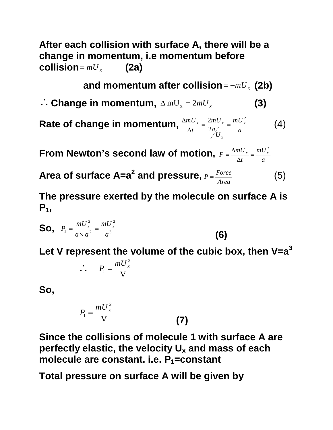**After each collision with surface A, there will be a change in momentum, i.e momentum before (2a)** 

and momentum after collision  $= -mU_x$  (2b)

 $\therefore$  Change in momentum,  $\Delta mU_x = 2mU_x$  (3)

Rate of change in momentum,  $\frac{\Delta m U_x}{\Delta t} = \frac{2 m U_x}{2 a_{xx}^2} = \frac{m U_x}{a}$ *mU U a mU t*  $mU_x \equiv 2mU_x \equiv mU_x^2$ *x*  $x = \frac{2mV}{x}$ 2 2 2  $=\frac{2\pi\epsilon x}{2}$  =  $\Delta$  $\Delta$ (4)

**From Newton's second law of motion,**  *a mU t*  $F = \frac{\Delta mU_x}{\Delta} = \frac{mU_x^2}{\Delta}$ 2  $=$  $\Delta$  $=\frac{\Delta}{\sqrt{2}}$ 

**Area of surface A=a 2 and pressure,** *Area*  $P = \frac{Force}{4}$  (5)

**The pressure exerted by the molecule on surface A is**   $P_1$ 

**So,** 
$$
P_1 = \frac{mU_x^2}{a \times a^2} = \frac{mU_x^2}{a^3}
$$
 (6)

**Let V represent the volume of the cubic box, then V=a<sup>3</sup>**

$$
\therefore P_1 = \frac{mU_x^2}{V}
$$

**So,**

$$
P_1 = \frac{mU_x^2}{V}
$$
 (7)

**Since the collisions of molecule 1 with surface A are perfectly elastic, the velocity U<sup>x</sup> and mass of each molecule are constant. i.e. P1=constant** 

**Total pressure on surface A will be given by**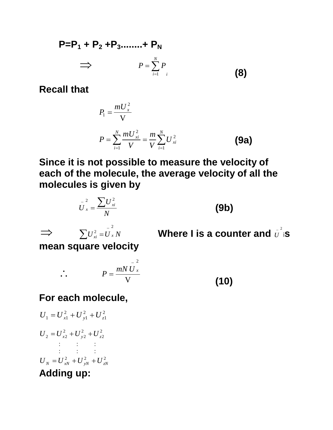#### **P=P<sup>1</sup> + P<sup>2</sup> +P3........+ P<sup>N</sup>**  $\Rightarrow$ *i N*  $P = \sum_{i=1} P$  $=$ <sup>1</sup> **(8)**

**Recall that**

$$
P_{1} = \frac{mU_{x}^{2}}{V}
$$

$$
P = \sum_{i=1}^{N} \frac{mU_{xi}^{2}}{V} = \frac{m}{V} \sum_{i=1}^{N} U_{xi}^{2}
$$
(9a)

**Since it is not possible to measure the velocity of each of the molecule, the average velocity of all the molecules is given by**

*N U*  $U_x = \frac{\sum u_x}{v_x}$  $U_x^2 = \frac{\sum U_{x}^2}{V_x^2}$ **(9b)**  $\Rightarrow$   $\sum U_{xi}^{2} = U_{x}^{2} N$ 2  $-\overline{1}$  $\sum U_{xi}^2 = \overline{U}_x^2 N$  **Where I is a counter and**  $\overline{U}^2$  is **mean square velocity**  $\therefore$   $P = \frac{mN}{V}$ 2 *mN U <sup>x</sup> P* - $=$ 

**(10)**

# **For each molecule,**

$$
U_1 = U_{x1}^2 + U_{y1}^2 + U_{z1}^2
$$
  
\n
$$
U_2 = U_{x2}^2 + U_{y2}^2 + U_{z2}^2
$$
  
\n
$$
\vdots
$$
  
\n
$$
U_N = U_{xN}^2 + U_{yN}^2 + U_{zN}^2
$$
  
\nAdding up: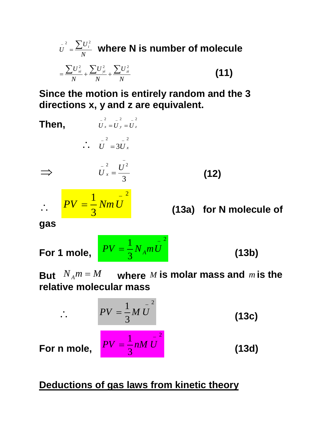$$
\bar{U}^{2} = \frac{\sum U_{i}^{2}}{N}
$$
 where N is number of molecule  

$$
= \frac{\sum U_{xi}^{2}}{N} + \frac{\sum U_{yi}^{2}}{N} + \frac{\sum U_{zi}^{2}}{N}
$$
 (11)

**Since the motion is entirely random and the 3 directions x, y and z are equivalent.** 

Then,  
\n
$$
\overline{U}_{x} = \overline{U}_{y} = \overline{U}_{z}
$$
\n
$$
\overline{U}_{x} = \frac{\overline{U}_{z}^{2}}{3}
$$
\n
$$
\overline{U}_{x} = \frac{\overline{U}_{z}^{2}}{3}
$$
\n
$$
\overline{U}_{x} = \frac{\overline{U}_{z}^{2}}{3}
$$
\n(12)\n
$$
\overline{U}_{x} = \frac{1}{3} Nm \overline{U}_{x}
$$
\n(13a) for N molecule of

**For 1 mole,** 2 3  $1\frac{1}{N}$  $PV = \frac{1}{3} N_A mU$  (13b)

But  $N_A m = M$  where *M* is molar mass and *m* is the **relative molecular mass**

> 2 3  $1\overline{M}$  $PV = \frac{1}{3}M U$  (13c) 2 3  $\frac{1}{1}$   $\frac{1}{1}$  $PV = \frac{1}{3} nM U$  (13d)

**For n mole,** 

 $\ddot{\cdot}$ 

**Deductions of gas laws from kinetic theory**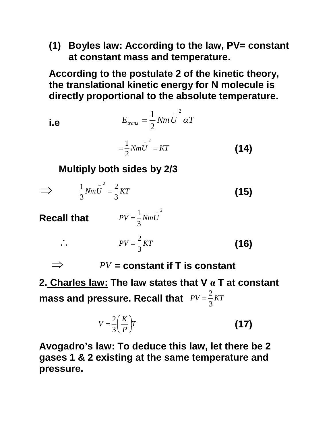**(1) Boyles law: According to the law, PV= constant at constant mass and temperature.**

**According to the postulate 2 of the kinetic theory, the translational kinetic energy for N molecule is directly proportional to the absolute temperature.**

$$
E_{trans} = \frac{1}{2} Nm \bar{U}^2 \alpha T
$$

$$
= \frac{1}{2} Nm \bar{U}^2 = KT \tag{14}
$$

**Multiply both sides by 2/3**

$$
\implies \qquad \frac{1}{3}Nm\bar{U}^2 = \frac{2}{3}KT
$$
 (15)

3

**Recall that** 

all that 
$$
PV = \frac{1}{3}Nm\overline{U}^2
$$
  
\n $\therefore \qquad PV = \frac{2}{3}KT$  (16)

 $PV = constant$  if T is constant

**2. Charles law: The law states that V α T at constant mass and pressure. Recall that**  $PV = \frac{2}{3}KT$ 3 2  $=$ 

$$
V = \frac{2}{3} \left( \frac{K}{P} \right) T
$$
 (17)

**Avogadro's law: To deduce this law, let there be 2 gases 1 & 2 existing at the same temperature and pressure.**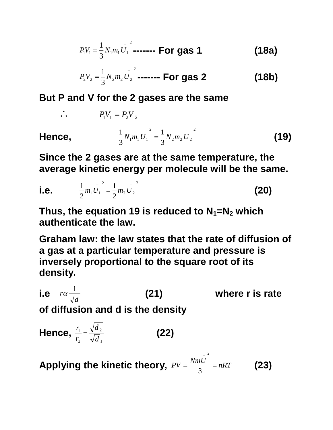$$
P_1 V_1 = \frac{1}{3} N_1 m_1 U_1^2 \text{---} \text{For gas 1}
$$
 (18a)

$$
P_2 V_2 = \frac{1}{3} N_2 m_2 U_2^2 \dots \dots \dots \text{For gas 2} \tag{18b}
$$

#### **But P and V for the 2 gases are the same**

$$
\therefore P_1 V_1 = P_2 V_2
$$
\nHence, 
$$
\frac{1}{3} N_1 m_1 U_1^2 = \frac{1}{3} N_2 m_2 U_2^2
$$
\n(19)

**Since the 2 gases are at the same temperature, the average kinetic energy per molecule will be the same.**

i.e. 
$$
\frac{1}{2}m_1\overline{U}_1^2 = \frac{1}{2}m_2\overline{U}_2^2
$$
 (20)

Thus, the equation 19 is reduced to  $N_1 = N_2$  which **authenticate the law.**

**Graham law: the law states that the rate of diffusion of a gas at a particular temperature and pressure is inversely proportional to the square root of its density.**

i.e 
$$
r\alpha \frac{1}{\sqrt{d}}
$$
 (21) where **r** is rate of diffusion and d is the density

Hence, 
$$
\frac{r_1}{r_2} = \frac{\sqrt{d_2}}{\sqrt{d_1}}
$$
 (22)

Applying the kinetic theory,  $PV = \frac{NmU}{2}$  = nRT -3 2 **(23)**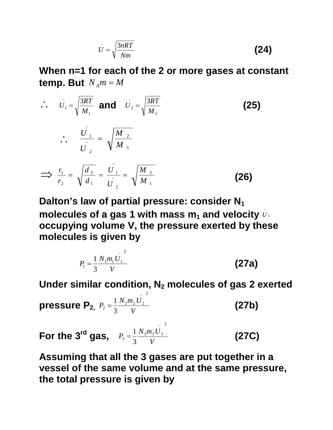$$
\bar{U} = \sqrt{\frac{3nRT}{Nm}}
$$
 (24)

**When n=1 for each of the 2 or more gases at constant temp. But**  $N_A m = M$ 

$$
\therefore \quad \bar{U}_1 = \sqrt{\frac{3RT}{M_1}} \text{ and } \quad \bar{U}_2 = \sqrt{\frac{3RT}{M_2}}
$$
\n
$$
\therefore \quad \frac{\bar{U}_1}{\bar{U}_2} = \sqrt{\frac{M_2}{M_1}}
$$
\n
$$
\implies \frac{r_1}{r_2} = \sqrt{\frac{d_2}{d_1}} = \frac{\bar{U}_1}{\bar{U}_2} = \sqrt{\frac{M_2}{M_1}}
$$
\n(26)

**Dalton's law of partial pressure: consider N<sup>1</sup>** molecules of a gas 1 with mass  $\mathbf{m}_1$  and velocity  $\bar{v}_1$ **occupying volume V, the pressure exerted by these molecules is given by** 

$$
P_1 = \frac{1}{3} \frac{N_1 m_1 \bar{U_1}}{V}
$$
 (27a)

**Under similar condition, N<sup>2</sup> molecules of gas 2 exerted** 

**pressure P<sub>2</sub>**, 
$$
P_2 = \frac{1}{3} \frac{N_2 m_2 \bar{U_2}^2}{V}
$$
 (27b)

**For the 3<sup>rd</sup> gas,**  $P_3 = \frac{1}{3} \frac{N_3 m_3 U}{V}$  $P_3 = \frac{1}{2} \frac{N_3 m_3 O_3}{r}$ 2  $3^{\circ}$  3 1 - $=\frac{1}{2}\frac{N_3m_3C_3}{V}$  (27C)

**Assuming that all the 3 gases are put together in a vessel of the same volume and at the same pressure, the total pressure is given by**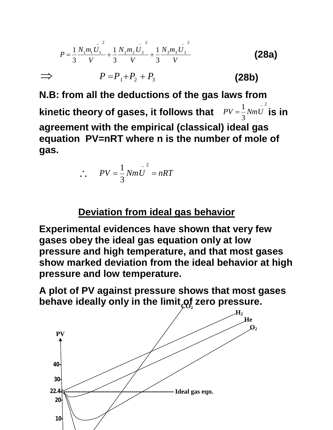$$
P = \frac{1}{3} \frac{N_1 m_1 \bar{U_1}^2}{V} + \frac{1}{3} \frac{N_2 m_2 \bar{U_2}^2}{V} + \frac{1}{3} \frac{N_3 m_3 \bar{U_3}^2}{V}
$$
(28a)  
\n
$$
\implies P = P_1 + P_2 + P_3
$$
(28b)

**N.B: from all the deductions of the gas laws from kinetic theory of gases, it follows that**  2 3  $PV = \frac{1}{2} Nm \overline{U}^2$  **is in agreement with the empirical (classical) ideal gas equation PV=nRT where n is the number of mole of gas.**

$$
\therefore PV = \frac{1}{3} Nm \overline{U}^2 = nRT
$$

#### **Deviation from ideal gas behavior**

**Experimental evidences have shown that very few gases obey the ideal gas equation only at low pressure and high temperature, and that most gases show marked deviation from the ideal behavior at high pressure and low temperature.**

**A plot of PV against pressure shows that most gases**  behave ideally only in the limit<sub>ç</sub>of zero pressure.

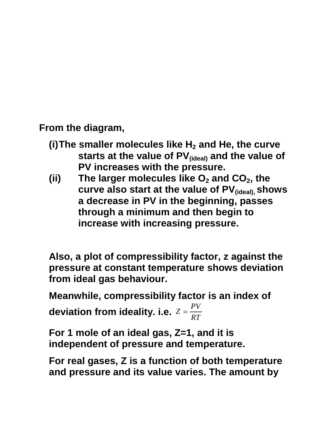**From the diagram,**

- **(i)The smaller molecules like H<sup>2</sup> and He, the curve starts at the value of PV(ideal) and the value of PV increases with the pressure.**
- **(ii) The larger molecules like O<sup>2</sup> and CO2, the curve also start at the value of PV(ideal), shows a decrease in PV in the beginning, passes through a minimum and then begin to increase with increasing pressure.**

**Also, a plot of compressibility factor, z against the pressure at constant temperature shows deviation from ideal gas behaviour.**

**Meanwhile, compressibility factor is an index of** 

**deviation from ideality. i.e.**  $Z = \frac{Y}{RT}$  $Z = \frac{PV}{2\pi}$ 

**For 1 mole of an ideal gas, Z=1, and it is independent of pressure and temperature.**

**For real gases, Z is a function of both temperature and pressure and its value varies. The amount by**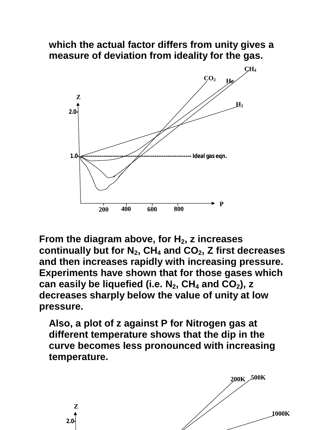#### **which the actual factor differs from unity gives a measure of deviation from ideality for the gas.**



**From the diagram above, for H2, z increases continually but for N2, CH<sup>4</sup> and CO2, Z first decreases and then increases rapidly with increasing pressure. Experiments have shown that for those gases which can easily be liquefied (i.e. N2, CH<sup>4</sup> and CO2), z decreases sharply below the value of unity at low pressure.**

**Also, a plot of z against P for Nitrogen gas at different temperature shows that the dip in the curve becomes less pronounced with increasing temperature.**

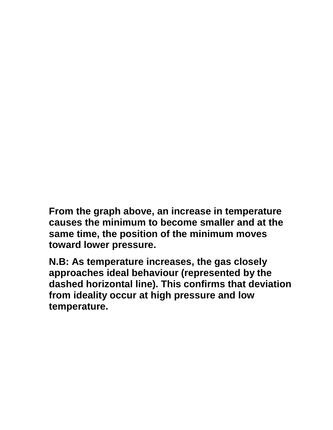**From the graph above, an increase in temperature causes the minimum to become smaller and at the same time, the position of the minimum moves toward lower pressure.**

**N.B: As temperature increases, the gas closely approaches ideal behaviour (represented by the dashed horizontal line). This confirms that deviation from ideality occur at high pressure and low temperature.**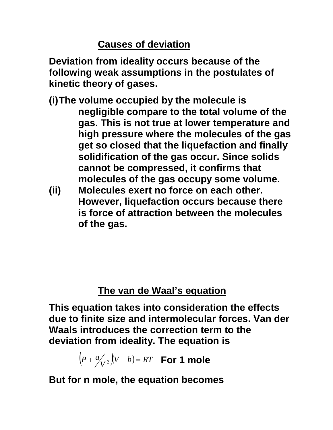## **Causes of deviation**

**Deviation from ideality occurs because of the following weak assumptions in the postulates of kinetic theory of gases.**

- **(i)The volume occupied by the molecule is negligible compare to the total volume of the gas. This is not true at lower temperature and high pressure where the molecules of the gas get so closed that the liquefaction and finally solidification of the gas occur. Since solids cannot be compressed, it confirms that molecules of the gas occupy some volume.**
- **(ii) Molecules exert no force on each other. However, liquefaction occurs because there is force of attraction between the molecules of the gas.**

# **The van de Waal's equation**

**This equation takes into consideration the effects due to finite size and intermolecular forces. Van der Waals introduces the correction term to the deviation from ideality. The equation is** 

 $\left( P + \frac{a}{V^2} \right) \left( V - b \right) = RT$  **For 1 mole** 

**But for n mole, the equation becomes**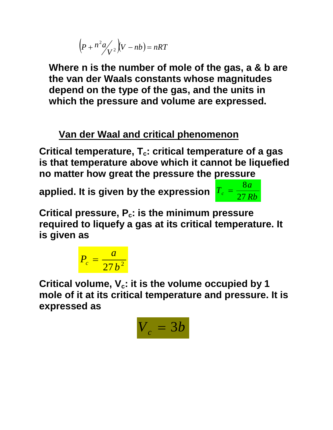$$
\left(p + n^2 a \frac{1}{V^2}\right) (V - nb) = nRT
$$

**Where n is the number of mole of the gas, a & b are the van der Waals constants whose magnitudes depend on the type of the gas, and the units in which the pressure and volume are expressed.**

# **Van der Waal and critical phenomenon**

**Critical temperature, Tc: critical temperature of a gas is that temperature above which it cannot be liquefied no matter how great the pressure the pressure** 

applied. It is given by the expression  $\int_{0}^{T_{c}}$  =  $\frac{27Rb}{27Rb}$ 



**Critical pressure, Pc: is the minimum pressure required to liquefy a gas at its critical temperature. It is given as** 

$$
P_c = \frac{a}{27b^2}
$$

**Critical volume, Vc: it is the volume occupied by 1 mole of it at its critical temperature and pressure. It is expressed as** 

$$
V_c = 3b
$$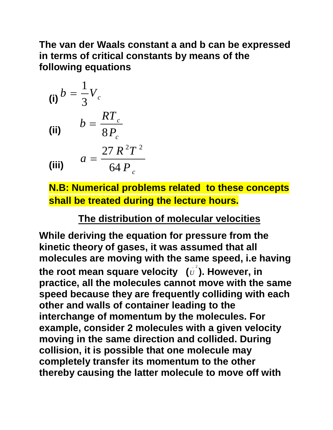#### **The van der Waals constant a and b can be expressed in terms of critical constants by means of the following equations**

(i) 
$$
b = \frac{1}{3}V_c
$$
  
\n(ii) 
$$
b = \frac{RT_c}{8P_c}
$$
  
\n(iii) 
$$
a = \frac{27 R^2 T^2}{64 P_c}
$$

**N.B: Numerical problems related to these concepts shall be treated during the lecture hours.**

## **The distribution of molecular velocities**

**While deriving the equation for pressure from the kinetic theory of gases, it was assumed that all molecules are moving with the same speed, i.e having**  the root mean square velocity  $(\bar{\bar{U}}^2)$ . However, in **practice, all the molecules cannot move with the same speed because they are frequently colliding with each other and walls of container leading to the interchange of momentum by the molecules. For example, consider 2 molecules with a given velocity moving in the same direction and collided. During collision, it is possible that one molecule may completely transfer its momentum to the other thereby causing the latter molecule to move off with**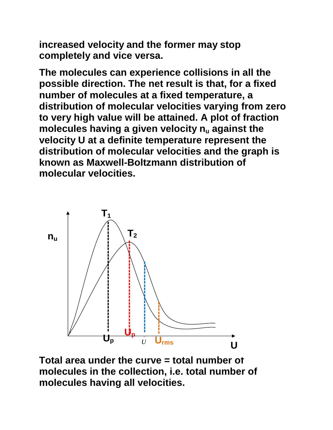**increased velocity and the former may stop completely and vice versa.**

**The molecules can experience collisions in all the possible direction. The net result is that, for a fixed number of molecules at a fixed temperature, a distribution of molecular velocities varying from zero to very high value will be attained. A plot of fraction molecules having a given velocity n<sup>u</sup> against the velocity U at a definite temperature represent the distribution of molecular velocities and the graph is known as Maxwell-Boltzmann distribution of molecular velocities.**



**Total area under the curve = total number of molecules in the collection, i.e. total number of**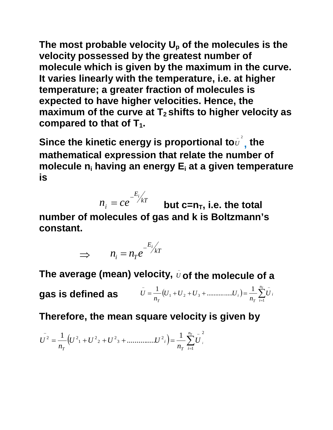**The most probable velocity U<sup>p</sup> of the molecules is the velocity possessed by the greatest number of molecule which is given by the maximum in the curve. It varies linearly with the temperature, i.e. at higher temperature; a greater fraction of molecules is expected to have higher velocities. Hence, the maximum of the curve at T<sup>2</sup> shifts to higher velocity as compared to that of T1.**

Since the kinetic energy is proportional to $\overset{\,\,{}_\circ}{v}^{_{2}}$  $\bar{\bm{\theta}}$ <sup>-</sup>, the **mathematical expression that relate the number of molecule n<sup>i</sup> having an energy E<sup>i</sup> at a given temperature is**

*kT E i*  $n_i = ce^{-\frac{E_i}{kT}}$  but c=n<sub>T</sub>, i.e. the total **number of molecules of gas and k is Boltzmann's constant.**

$$
\implies n_i = n_T e^{-\frac{E_i}{kT}}
$$

The average (mean) velocity,  $\bar{v}$  of the molecule of a

**gas is defined as** 
$$
\bar{U} = \frac{1}{n_T} (U_1 + U_2 + U_3 + \dots + U_i) = \frac{1}{n_T} \sum_{i=1}^{n_T} \bar{U}_i
$$

**Therefore, the mean square velocity is given by** 

$$
U^{2} = \frac{1}{n_{T}} \Big( U^{2}{}_{1} + U^{2}{}_{2} + U^{2}{}_{3} + \dots \dots \dots \dots \dots U^{2}{}_{i} \Big) = \frac{1}{n_{T}} \sum_{i=1}^{n_{T}} U^{2}{}_{i}
$$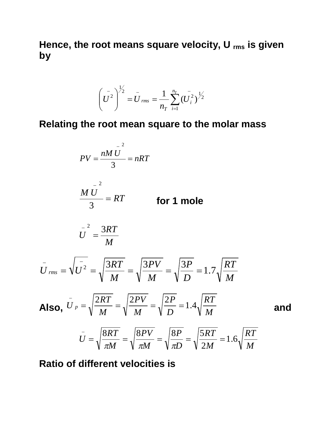**Hence, the root means square velocity, U rms is given by** 

$$
\left(\overline{U}^{2}\right)^{\frac{1}{2}} = \overline{U}_{rms} = \frac{1}{n_{T}} \sum_{i=1}^{n_{T}} \left(\overline{U}_{i}^{2}\right)^{\frac{1}{2}}
$$

**Relating the root mean square to the molar mass**

$$
PV = \frac{nM\overline{U}^2}{3} = nRT
$$

$$
\frac{M\overline{U}^2}{3} = RT
$$
 for 1 mole

$$
U^{2} = \frac{3RT}{M}
$$

$$
\overline{U}_{rms} = \sqrt{\overline{U}^2} = \sqrt{\frac{3RT}{M}} = \sqrt{\frac{3PV}{M}} = \sqrt{\frac{3P}{D}} = 1.7\sqrt{\frac{RT}{M}}
$$
\nAlso,  $\overline{U}_p = \sqrt{\frac{2RT}{M}} = \sqrt{\frac{2PV}{M}} = \sqrt{\frac{2P}{D}} = 1.4\sqrt{\frac{RT}{M}}$  and  $\overline{U}_{p} = \sqrt{\frac{2RT}{M}} = \sqrt{\frac{2PV}{M}} = \sqrt{\frac{2P}{D}} = 1.4\sqrt{\frac{RT}{M}}$ 

$$
\overline{U} = \sqrt{\frac{8RT}{\pi M}} = \sqrt{\frac{8PV}{\pi M}} = \sqrt{\frac{8P}{\pi D}} = \sqrt{\frac{5RT}{2M}} = 1.6\sqrt{\frac{RT}{M}}
$$

**Ratio of different velocities is**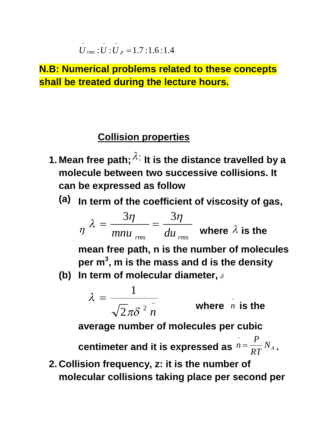$$
\overline{U}_{rms}
$$
:  $\overline{U}$ :  $\overline{U}_p$  = 1.7:1.6:1.4

**N.B: Numerical problems related to these concepts shall be treated during the lecture hours.**

## **Collision properties**

- **1. Mean free path;**  $\lambda$ **: It is the distance travelled by a molecule between two successive collisions. It can be expressed as follow**
	- **(a) In term of the coefficient of viscosity of gas,**

$$
\eta \lambda = \frac{3\eta}{m n u_{rms}} = \frac{3\eta}{d u_{rms}}
$$
 where  $\lambda$  is the

**mean free path, n is the number of molecules per m<sup>3</sup> , m is the mass and d is the density**

**(b) In term of molecular diameter,**

$$
\lambda = \frac{1}{\sqrt{2\pi\delta^2 n}}
$$
 where *n* is the

**average number of molecules per cubic** 

centimeter and it is expressed as  $n = \frac{1}{RT} N_A$ *RT P n* -**.**

**2. Collision frequency, z: it is the number of molecular collisions taking place per second per**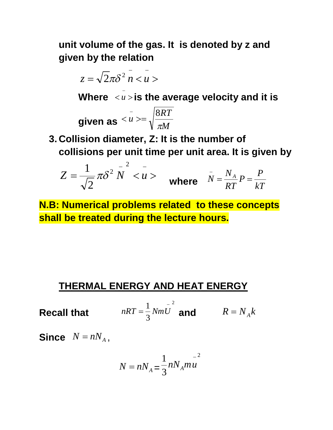**unit volume of the gas. It is denoted by z and given by the relation**

$$
z=\sqrt{2}\pi\delta^2\bar{n}<\bar{u}>
$$

**Where**  $u>$ </u> ÷ *u* **is the average velocity and it is** 

$$
\text{given as } \frac{1}{u} >= \sqrt{\frac{8RT}{\pi M}}
$$

**3. Collision diameter, Z: It is the number of collisions per unit time per unit area. It is given by** 

$$
Z = \frac{1}{\sqrt{2}} \pi \delta^2 \stackrel{-}{N} < u > \quad \text{where} \quad \bar{N} = \frac{N_A}{RT} P = \frac{P}{kT}
$$

**N.B: Numerical problems related to these concepts shall be treated during the lecture hours.**

#### **THERMAL ENERGY AND HEAT ENERGY**

**Recall that**  2 3  $1 \frac{1}{N}$  $nRT = \frac{1}{3} NmU$  and  $R = N_A k$ 

**Since**  $N = nN_A$ ,

$$
N = nN_A = \frac{1}{3} nN_A m u^{-2}
$$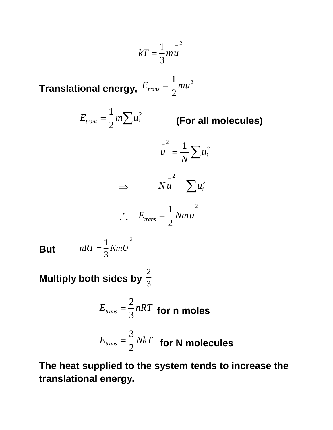$$
kT = \frac{1}{3} m u^{-2}
$$

**Translational energy,** 2 2 1  $E_{trans} = \frac{1}{2}mu$ 

$$
E_{trans} = \frac{1}{2}m\sum u_i^2
$$

*trans <sup>i</sup> E m u* **(For all molecules)**

$$
u^2 = \frac{1}{N} \sum u_i^2
$$

$$
\Rightarrow \qquad N u^2 = \sum u_i^2
$$
  
 
$$
\therefore E_{trans} = \frac{1}{2} N m u
$$

2

**But**   $nRT = \frac{1}{2}NmU$ 

Multiply both sides by  $\frac{1}{3}$ 2

3

 $1\frac{1}{N}$ 

$$
E_{trans} = \frac{2}{3} nRT
$$
 for n moles  

$$
E_{trans} = \frac{3}{2} NkT
$$
 for N molecules

**The heat supplied to the system tends to increase the translational energy.**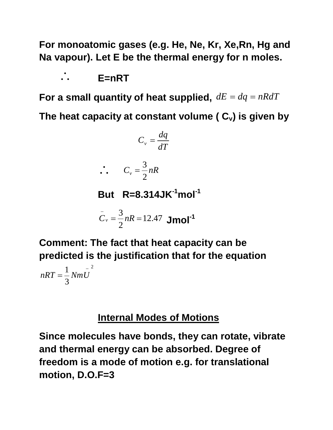**For monoatomic gases (e.g. He, Ne, Kr, Xe,Rn, Hg and Na vapour). Let E be the thermal energy for n moles.**

 $\cdot$  **E**=nRT

For a small quantity of heat supplied,  $dE = dq = nRdT$ 

**The heat capacity at constant volume ( Cv) is given by**

$$
C_v = \frac{dq}{dT}
$$

$$
\therefore C_v = \frac{3}{2} nR
$$

**But R=8.314JK-1mol-1**

$$
C_v = \frac{3}{2}nR = 12.47 \text{ Jmol}^{-1}
$$

**Comment: The fact that heat capacity can be predicted is the justification that for the equation** 

2 3  $1\frac{1}{N}$  $nRT = \frac{1}{2}NmU$ 

#### **Internal Modes of Motions**

**Since molecules have bonds, they can rotate, vibrate and thermal energy can be absorbed. Degree of freedom is a mode of motion e.g. for translational motion, D.O.F=3**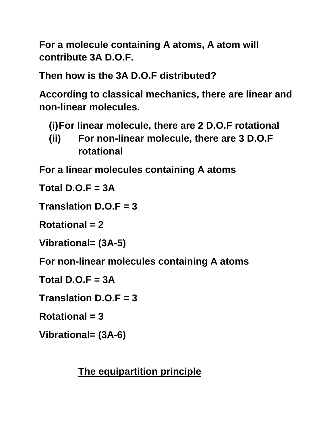**For a molecule containing A atoms, A atom will contribute 3A D.O.F.** 

**Then how is the 3A D.O.F distributed?**

**According to classical mechanics, there are linear and non-linear molecules.** 

**(i)For linear molecule, there are 2 D.O.F rotational**

**(ii) For non-linear molecule, there are 3 D.O.F rotational**

**For a linear molecules containing A atoms**

**Total D.O.F = 3A**

**Translation D.O.F = 3**

**Rotational = 2**

**Vibrational= (3A-5)**

**For non-linear molecules containing A atoms**

**Total D.O.F = 3A**

**Translation D.O.F = 3**

**Rotational = 3**

**Vibrational= (3A-6)**

**The equipartition principle**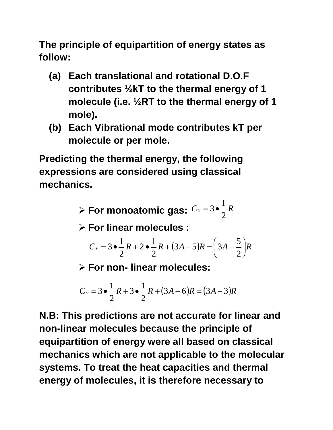**The principle of equipartition of energy states as follow:**

- **(a) Each translational and rotational D.O.F contributes ½kT to the thermal energy of 1 molecule (i.e. ½RT to the thermal energy of 1 mole).**
- **(b) Each Vibrational mode contributes kT per molecule or per mole.**

**Predicting the thermal energy, the following expressions are considered using classical mechanics.**

> **≻ For monoatomic gas:**  $C_v = 3 \cdot \frac{1}{2} R$ 2 1  $=$  3 $\bullet$ -

**For linear molecules :** 

$$
C_v = 3 \bullet \frac{1}{2} R + 2 \bullet \frac{1}{2} R + (3A - 5)R = \left(3A - \frac{5}{2}\right) R
$$

**For non- linear molecules:**

$$
C_v = 3 \cdot \frac{1}{2}R + 3 \cdot \frac{1}{2}R + (3A - 6)R = (3A - 3)R
$$

**N.B: This predictions are not accurate for linear and non-linear molecules because the principle of equipartition of energy were all based on classical mechanics which are not applicable to the molecular systems. To treat the heat capacities and thermal energy of molecules, it is therefore necessary to**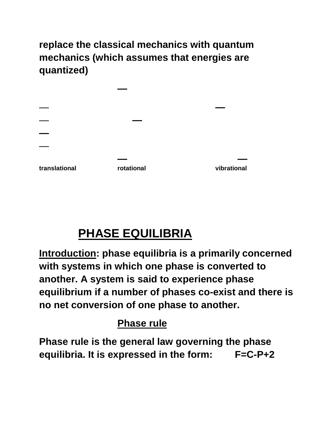**replace the classical mechanics with quantum mechanics (which assumes that energies are quantized)**

| translational | rotational | vibrational |
|---------------|------------|-------------|

# **PHASE EQUILIBRIA**

**Introduction: phase equilibria is a primarily concerned with systems in which one phase is converted to another. A system is said to experience phase equilibrium if a number of phases co-exist and there is no net conversion of one phase to another.**

# **Phase rule**

**Phase rule is the general law governing the phase equilibria. It is expressed in the form: F=C-P+2**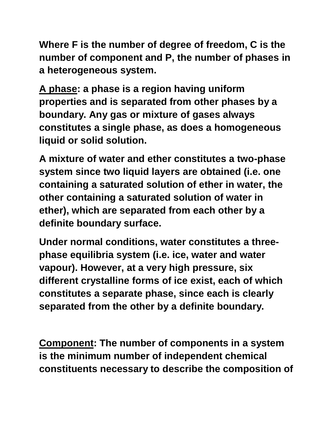**Where F is the number of degree of freedom, C is the number of component and P, the number of phases in a heterogeneous system.**

**A phase: a phase is a region having uniform properties and is separated from other phases by a boundary. Any gas or mixture of gases always constitutes a single phase, as does a homogeneous liquid or solid solution.**

**A mixture of water and ether constitutes a two-phase system since two liquid layers are obtained (i.e. one containing a saturated solution of ether in water, the other containing a saturated solution of water in ether), which are separated from each other by a definite boundary surface.**

**Under normal conditions, water constitutes a threephase equilibria system (i.e. ice, water and water vapour). However, at a very high pressure, six different crystalline forms of ice exist, each of which constitutes a separate phase, since each is clearly separated from the other by a definite boundary.**

**Component: The number of components in a system is the minimum number of independent chemical constituents necessary to describe the composition of**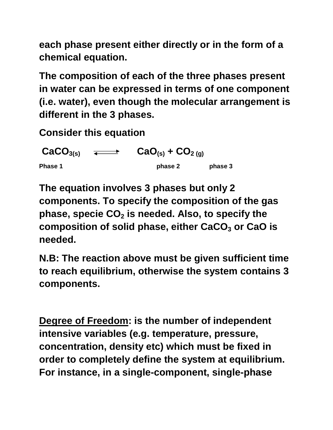**each phase present either directly or in the form of a chemical equation.**

**The composition of each of the three phases present in water can be expressed in terms of one component (i.e. water), even though the molecular arrangement is different in the 3 phases.**

**Consider this equation**

 $\overline{CaCO}_{3(s)}$   $\overline{\longleftrightarrow}$   $\overline{CaO}_{(s)} + \overline{CO}_{2(g)}$ **Phase 1 phase 2 phase 2 phase 3** 

**The equation involves 3 phases but only 2 components. To specify the composition of the gas phase, specie CO<sup>2</sup> is needed. Also, to specify the composition of solid phase, either CaCO<sup>3</sup> or CaO is needed.**

**N.B: The reaction above must be given sufficient time to reach equilibrium, otherwise the system contains 3 components.**

**Degree of Freedom: is the number of independent intensive variables (e.g. temperature, pressure, concentration, density etc) which must be fixed in order to completely define the system at equilibrium. For instance, in a single-component, single-phase**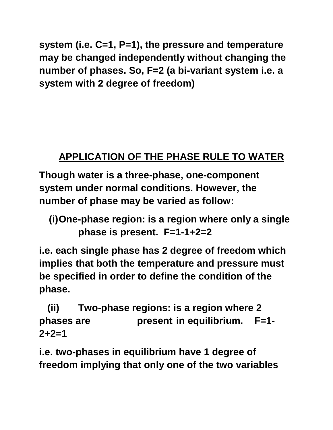**system (i.e. C=1, P=1), the pressure and temperature may be changed independently without changing the number of phases. So, F=2 (a bi-variant system i.e. a system with 2 degree of freedom)**

# **APPLICATION OF THE PHASE RULE TO WATER**

**Though water is a three-phase, one-component system under normal conditions. However, the number of phase may be varied as follow:**

```
(i)One-phase region: is a region where only a single 
phase is present. F=1-1+2=2
```
**i.e. each single phase has 2 degree of freedom which implies that both the temperature and pressure must be specified in order to define the condition of the phase.**

 **(ii) Two-phase regions: is a region where 2 phases are present in equilibrium. F=1- 2+2=1**

**i.e. two-phases in equilibrium have 1 degree of freedom implying that only one of the two variables**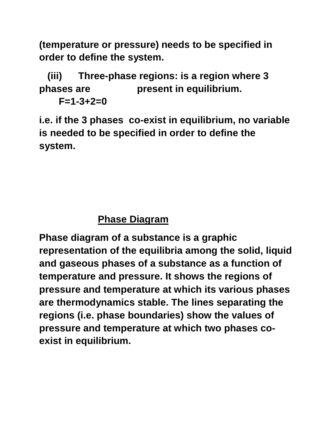**(temperature or pressure) needs to be specified in order to define the system.**

 **(iii) Three-phase regions: is a region where 3 phases are present in equilibrium.**

**F=1-3+2=0**

**i.e. if the 3 phases co-exist in equilibrium, no variable is needed to be specified in order to define the system.**

# **Phase Diagram**

**Phase diagram of a substance is a graphic representation of the equilibria among the solid, liquid and gaseous phases of a substance as a function of temperature and pressure. It shows the regions of pressure and temperature at which its various phases are thermodynamics stable. The lines separating the regions (i.e. phase boundaries) show the values of pressure and temperature at which two phases coexist in equilibrium.**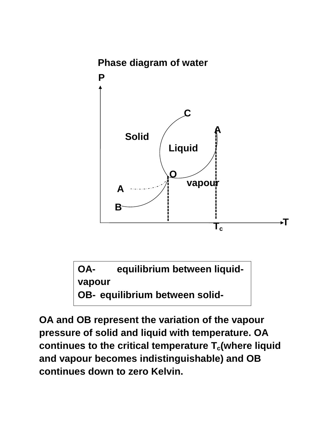

**OA- equilibrium between liquidvapour OB- equilibrium between solid-**

**value** 

**OA and OB represent the variation of the vapour pressure of solid and liquid with temperature. OA continues to the critical temperature Tc(where liquid and vapour becomes indistinguishable) and OB continues down to zero Kelvin.**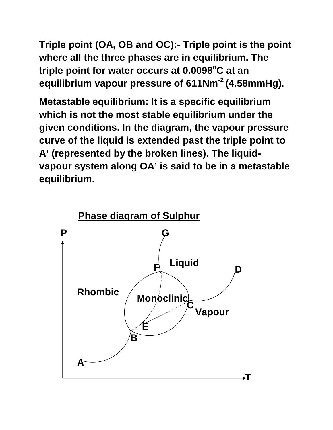**Triple point (OA, OB and OC):- Triple point is the point where all the three phases are in equilibrium. The triple point for water occurs at 0.0098<sup>o</sup>C at an equilibrium vapour pressure of 611Nm-2 (4.58mmHg).**

**Metastable equilibrium: It is a specific equilibrium which is not the most stable equilibrium under the given conditions. In the diagram, the vapour pressure curve of the liquid is extended past the triple point to A' (represented by the broken lines). The liquidvapour system along OA' is said to be in a metastable equilibrium.**